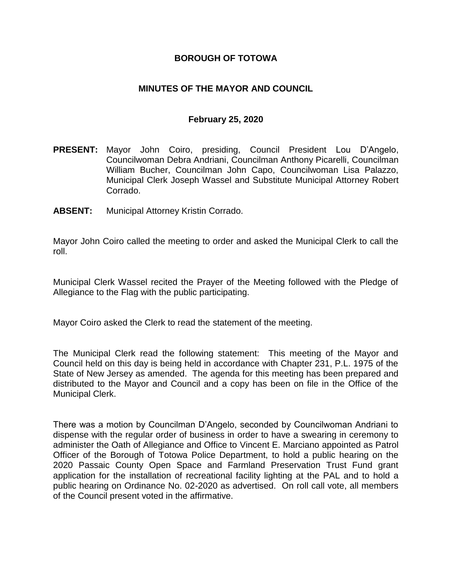### **BOROUGH OF TOTOWA**

### **MINUTES OF THE MAYOR AND COUNCIL**

#### **February 25, 2020**

- **PRESENT:** Mayor John Coiro, presiding, Council President Lou D'Angelo, Councilwoman Debra Andriani, Councilman Anthony Picarelli, Councilman William Bucher, Councilman John Capo, Councilwoman Lisa Palazzo, Municipal Clerk Joseph Wassel and Substitute Municipal Attorney Robert Corrado.
- **ABSENT:** Municipal Attorney Kristin Corrado.

Mayor John Coiro called the meeting to order and asked the Municipal Clerk to call the roll.

Municipal Clerk Wassel recited the Prayer of the Meeting followed with the Pledge of Allegiance to the Flag with the public participating.

Mayor Coiro asked the Clerk to read the statement of the meeting.

The Municipal Clerk read the following statement: This meeting of the Mayor and Council held on this day is being held in accordance with Chapter 231, P.L. 1975 of the State of New Jersey as amended. The agenda for this meeting has been prepared and distributed to the Mayor and Council and a copy has been on file in the Office of the Municipal Clerk.

There was a motion by Councilman D'Angelo, seconded by Councilwoman Andriani to dispense with the regular order of business in order to have a swearing in ceremony to administer the Oath of Allegiance and Office to Vincent E. Marciano appointed as Patrol Officer of the Borough of Totowa Police Department, to hold a public hearing on the 2020 Passaic County Open Space and Farmland Preservation Trust Fund grant application for the installation of recreational facility lighting at the PAL and to hold a public hearing on Ordinance No. 02-2020 as advertised. On roll call vote, all members of the Council present voted in the affirmative.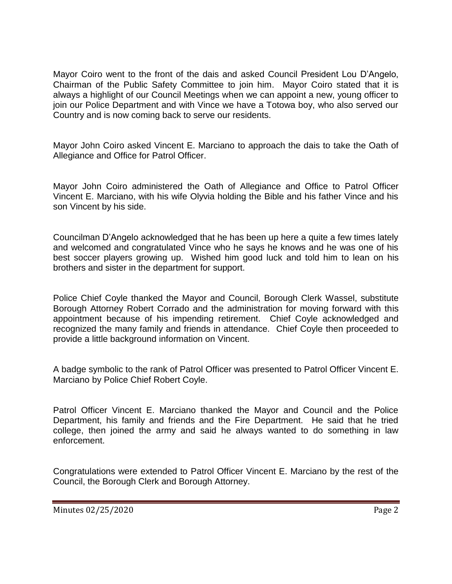Mayor Coiro went to the front of the dais and asked Council President Lou D'Angelo, Chairman of the Public Safety Committee to join him. Mayor Coiro stated that it is always a highlight of our Council Meetings when we can appoint a new, young officer to join our Police Department and with Vince we have a Totowa boy, who also served our Country and is now coming back to serve our residents.

Mayor John Coiro asked Vincent E. Marciano to approach the dais to take the Oath of Allegiance and Office for Patrol Officer.

Mayor John Coiro administered the Oath of Allegiance and Office to Patrol Officer Vincent E. Marciano, with his wife Olyvia holding the Bible and his father Vince and his son Vincent by his side.

Councilman D'Angelo acknowledged that he has been up here a quite a few times lately and welcomed and congratulated Vince who he says he knows and he was one of his best soccer players growing up. Wished him good luck and told him to lean on his brothers and sister in the department for support.

Police Chief Coyle thanked the Mayor and Council, Borough Clerk Wassel, substitute Borough Attorney Robert Corrado and the administration for moving forward with this appointment because of his impending retirement. Chief Coyle acknowledged and recognized the many family and friends in attendance. Chief Coyle then proceeded to provide a little background information on Vincent.

A badge symbolic to the rank of Patrol Officer was presented to Patrol Officer Vincent E. Marciano by Police Chief Robert Coyle.

Patrol Officer Vincent E. Marciano thanked the Mayor and Council and the Police Department, his family and friends and the Fire Department. He said that he tried college, then joined the army and said he always wanted to do something in law enforcement.

Congratulations were extended to Patrol Officer Vincent E. Marciano by the rest of the Council, the Borough Clerk and Borough Attorney.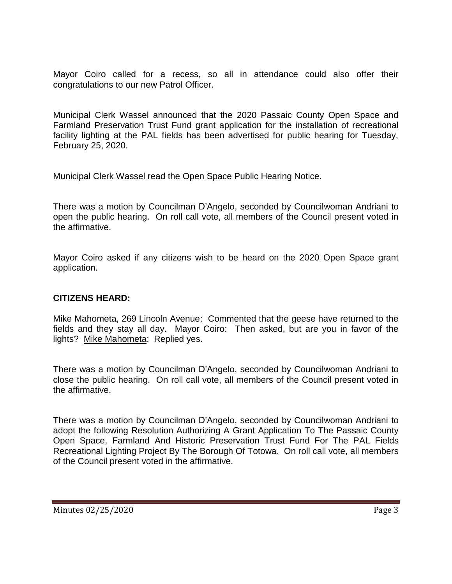Mayor Coiro called for a recess, so all in attendance could also offer their congratulations to our new Patrol Officer.

Municipal Clerk Wassel announced that the 2020 Passaic County Open Space and Farmland Preservation Trust Fund grant application for the installation of recreational facility lighting at the PAL fields has been advertised for public hearing for Tuesday, February 25, 2020.

Municipal Clerk Wassel read the Open Space Public Hearing Notice.

There was a motion by Councilman D'Angelo, seconded by Councilwoman Andriani to open the public hearing. On roll call vote, all members of the Council present voted in the affirmative.

Mayor Coiro asked if any citizens wish to be heard on the 2020 Open Space grant application.

## **CITIZENS HEARD:**

Mike Mahometa, 269 Lincoln Avenue: Commented that the geese have returned to the fields and they stay all day. Mayor Coiro: Then asked, but are you in favor of the lights? Mike Mahometa: Replied yes.

There was a motion by Councilman D'Angelo, seconded by Councilwoman Andriani to close the public hearing. On roll call vote, all members of the Council present voted in the affirmative.

There was a motion by Councilman D'Angelo, seconded by Councilwoman Andriani to adopt the following Resolution Authorizing A Grant Application To The Passaic County Open Space, Farmland And Historic Preservation Trust Fund For The PAL Fields Recreational Lighting Project By The Borough Of Totowa. On roll call vote, all members of the Council present voted in the affirmative.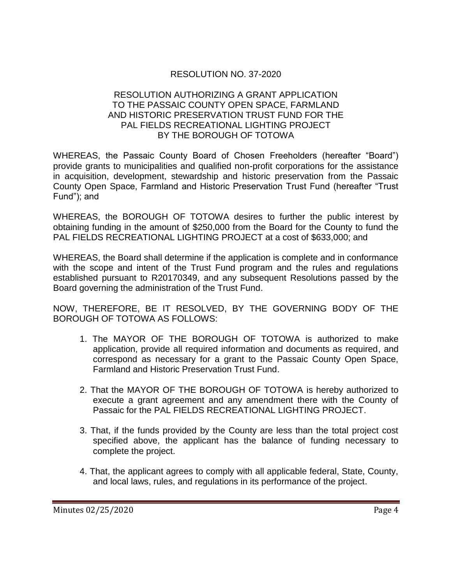## RESOLUTION NO. 37-2020

#### RESOLUTION AUTHORIZING A GRANT APPLICATION TO THE PASSAIC COUNTY OPEN SPACE, FARMLAND AND HISTORIC PRESERVATION TRUST FUND FOR THE PAL FIELDS RECREATIONAL LIGHTING PROJECT BY THE BOROUGH OF TOTOWA

WHEREAS, the Passaic County Board of Chosen Freeholders (hereafter "Board") provide grants to municipalities and qualified non-profit corporations for the assistance in acquisition, development, stewardship and historic preservation from the Passaic County Open Space, Farmland and Historic Preservation Trust Fund (hereafter "Trust Fund"); and

WHEREAS, the BOROUGH OF TOTOWA desires to further the public interest by obtaining funding in the amount of \$250,000 from the Board for the County to fund the PAL FIELDS RECREATIONAL LIGHTING PROJECT at a cost of \$633,000; and

WHEREAS, the Board shall determine if the application is complete and in conformance with the scope and intent of the Trust Fund program and the rules and regulations established pursuant to R20170349, and any subsequent Resolutions passed by the Board governing the administration of the Trust Fund.

NOW, THEREFORE, BE IT RESOLVED, BY THE GOVERNING BODY OF THE BOROUGH OF TOTOWA AS FOLLOWS:

- 1. The MAYOR OF THE BOROUGH OF TOTOWA is authorized to make application, provide all required information and documents as required, and correspond as necessary for a grant to the Passaic County Open Space, Farmland and Historic Preservation Trust Fund.
- 2. That the MAYOR OF THE BOROUGH OF TOTOWA is hereby authorized to execute a grant agreement and any amendment there with the County of Passaic for the PAL FIELDS RECREATIONAL LIGHTING PROJECT.
- 3. That, if the funds provided by the County are less than the total project cost specified above, the applicant has the balance of funding necessary to complete the project.
- 4. That, the applicant agrees to comply with all applicable federal, State, County, and local laws, rules, and regulations in its performance of the project.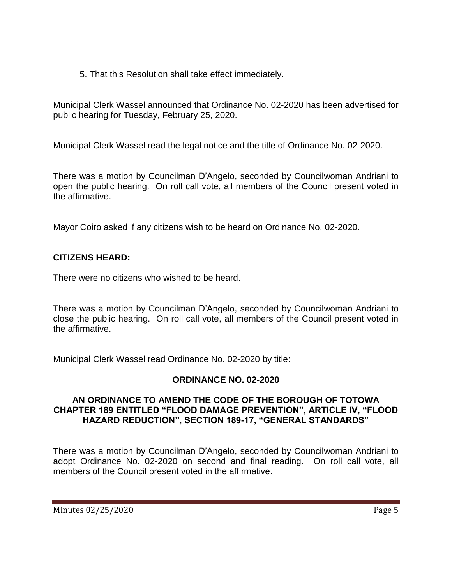5. That this Resolution shall take effect immediately.

Municipal Clerk Wassel announced that Ordinance No. 02-2020 has been advertised for public hearing for Tuesday, February 25, 2020.

Municipal Clerk Wassel read the legal notice and the title of Ordinance No. 02-2020.

There was a motion by Councilman D'Angelo, seconded by Councilwoman Andriani to open the public hearing. On roll call vote, all members of the Council present voted in the affirmative.

Mayor Coiro asked if any citizens wish to be heard on Ordinance No. 02-2020.

# **CITIZENS HEARD:**

There were no citizens who wished to be heard.

There was a motion by Councilman D'Angelo, seconded by Councilwoman Andriani to close the public hearing. On roll call vote, all members of the Council present voted in the affirmative.

Municipal Clerk Wassel read Ordinance No. 02-2020 by title:

## **ORDINANCE NO. 02-2020**

### **AN ORDINANCE TO AMEND THE CODE OF THE BOROUGH OF TOTOWA CHAPTER 189 ENTITLED "FLOOD DAMAGE PREVENTION", ARTICLE IV, "FLOOD HAZARD REDUCTION", SECTION 189-17, "GENERAL STANDARDS"**

There was a motion by Councilman D'Angelo, seconded by Councilwoman Andriani to adopt Ordinance No. 02-2020 on second and final reading. On roll call vote, all members of the Council present voted in the affirmative.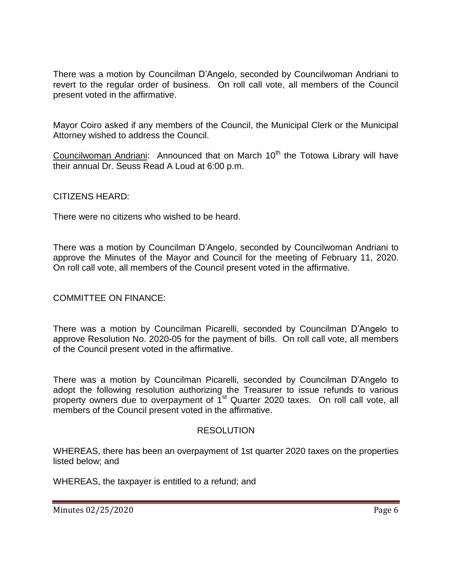There was a motion by Councilman D'Angelo, seconded by Councilwoman Andriani to revert to the regular order of business. On roll call vote, all members of the Council present voted in the affirmative.

Mayor Coiro asked if any members of the Council, the Municipal Clerk or the Municipal Attorney wished to address the Council.

Councilwoman Andriani: Announced that on March 10<sup>th</sup> the Totowa Library will have their annual Dr. Seuss Read A Loud at 6:00 p.m.

CITIZENS HEARD:

There were no citizens who wished to be heard.

There was a motion by Councilman D'Angelo, seconded by Councilwoman Andriani to approve the Minutes of the Mayor and Council for the meeting of February 11, 2020. On roll call vote, all members of the Council present voted in the affirmative.

#### COMMITTEE ON FINANCE:

There was a motion by Councilman Picarelli, seconded by Councilman D'Angelo to approve Resolution No. 2020-05 for the payment of bills. On roll call vote, all members of the Council present voted in the affirmative.

There was a motion by Councilman Picarelli, seconded by Councilman D'Angelo to adopt the following resolution authorizing the Treasurer to issue refunds to various property owners due to overpayment of  $1<sup>st</sup>$  Quarter 2020 taxes. On roll call vote, all members of the Council present voted in the affirmative.

#### RESOLUTION

WHEREAS, there has been an overpayment of 1st quarter 2020 taxes on the properties listed below; and

WHEREAS, the taxpayer is entitled to a refund; and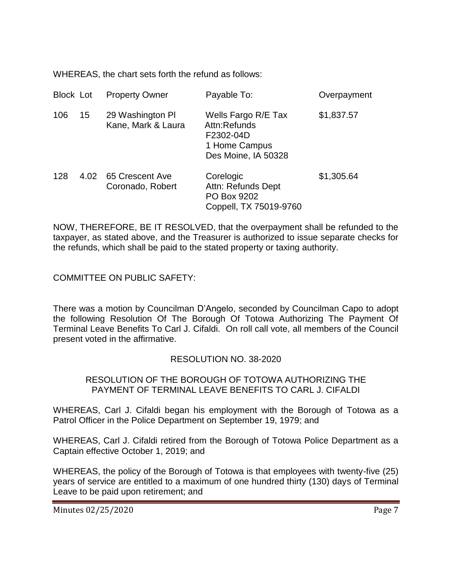WHEREAS, the chart sets forth the refund as follows:

| <b>Block Lot</b> |      | <b>Property Owner</b>                  | Payable To:                                                                              | Overpayment |
|------------------|------|----------------------------------------|------------------------------------------------------------------------------------------|-------------|
| 106              | 15   | 29 Washington PI<br>Kane, Mark & Laura | Wells Fargo R/E Tax<br>Attn:Refunds<br>F2302-04D<br>1 Home Campus<br>Des Moine, IA 50328 | \$1,837.57  |
| 128              | 4.02 | 65 Crescent Ave<br>Coronado, Robert    | Corelogic<br>Attn: Refunds Dept<br>PO Box 9202<br>Coppell, TX 75019-9760                 | \$1,305.64  |

NOW, THEREFORE, BE IT RESOLVED, that the overpayment shall be refunded to the taxpayer, as stated above, and the Treasurer is authorized to issue separate checks for the refunds, which shall be paid to the stated property or taxing authority.

COMMITTEE ON PUBLIC SAFETY:

There was a motion by Councilman D'Angelo, seconded by Councilman Capo to adopt the following Resolution Of The Borough Of Totowa Authorizing The Payment Of Terminal Leave Benefits To Carl J. Cifaldi. On roll call vote, all members of the Council present voted in the affirmative.

## RESOLUTION NO. 38-2020

### RESOLUTION OF THE BOROUGH OF TOTOWA AUTHORIZING THE PAYMENT OF TERMINAL LEAVE BENEFITS TO CARL J. CIFALDI

WHEREAS, Carl J. Cifaldi began his employment with the Borough of Totowa as a Patrol Officer in the Police Department on September 19, 1979; and

WHEREAS, Carl J. Cifaldi retired from the Borough of Totowa Police Department as a Captain effective October 1, 2019; and

WHEREAS, the policy of the Borough of Totowa is that employees with twenty-five (25) years of service are entitled to a maximum of one hundred thirty (130) days of Terminal Leave to be paid upon retirement; and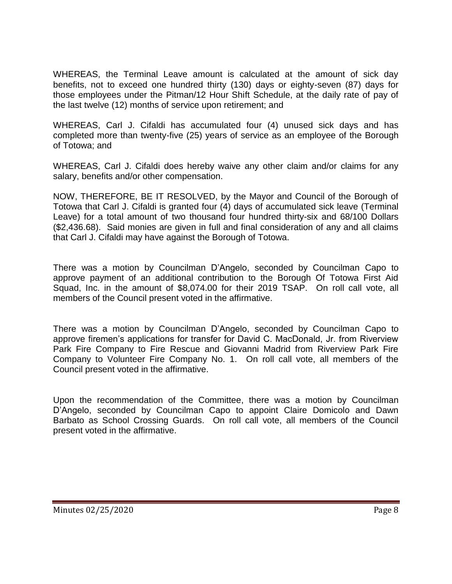WHEREAS, the Terminal Leave amount is calculated at the amount of sick day benefits, not to exceed one hundred thirty (130) days or eighty-seven (87) days for those employees under the Pitman/12 Hour Shift Schedule, at the daily rate of pay of the last twelve (12) months of service upon retirement; and

WHEREAS, Carl J. Cifaldi has accumulated four (4) unused sick days and has completed more than twenty-five (25) years of service as an employee of the Borough of Totowa; and

WHEREAS, Carl J. Cifaldi does hereby waive any other claim and/or claims for any salary, benefits and/or other compensation.

NOW, THEREFORE, BE IT RESOLVED, by the Mayor and Council of the Borough of Totowa that Carl J. Cifaldi is granted four (4) days of accumulated sick leave (Terminal Leave) for a total amount of two thousand four hundred thirty-six and 68/100 Dollars (\$2,436.68). Said monies are given in full and final consideration of any and all claims that Carl J. Cifaldi may have against the Borough of Totowa.

There was a motion by Councilman D'Angelo, seconded by Councilman Capo to approve payment of an additional contribution to the Borough Of Totowa First Aid Squad, Inc. in the amount of \$8,074.00 for their 2019 TSAP. On roll call vote, all members of the Council present voted in the affirmative.

There was a motion by Councilman D'Angelo, seconded by Councilman Capo to approve firemen's applications for transfer for David C. MacDonald, Jr. from Riverview Park Fire Company to Fire Rescue and Giovanni Madrid from Riverview Park Fire Company to Volunteer Fire Company No. 1. On roll call vote, all members of the Council present voted in the affirmative.

Upon the recommendation of the Committee, there was a motion by Councilman D'Angelo, seconded by Councilman Capo to appoint Claire Domicolo and Dawn Barbato as School Crossing Guards. On roll call vote, all members of the Council present voted in the affirmative.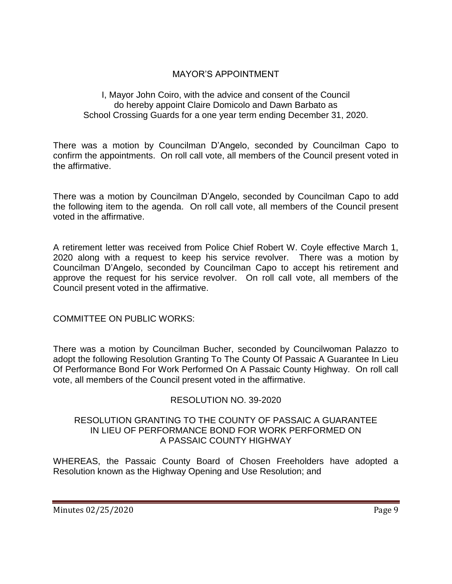# MAYOR'S APPOINTMENT

### I, Mayor John Coiro, with the advice and consent of the Council do hereby appoint Claire Domicolo and Dawn Barbato as School Crossing Guards for a one year term ending December 31, 2020.

There was a motion by Councilman D'Angelo, seconded by Councilman Capo to confirm the appointments. On roll call vote, all members of the Council present voted in the affirmative.

There was a motion by Councilman D'Angelo, seconded by Councilman Capo to add the following item to the agenda. On roll call vote, all members of the Council present voted in the affirmative.

A retirement letter was received from Police Chief Robert W. Coyle effective March 1, 2020 along with a request to keep his service revolver. There was a motion by Councilman D'Angelo, seconded by Councilman Capo to accept his retirement and approve the request for his service revolver. On roll call vote, all members of the Council present voted in the affirmative.

COMMITTEE ON PUBLIC WORKS:

There was a motion by Councilman Bucher, seconded by Councilwoman Palazzo to adopt the following Resolution Granting To The County Of Passaic A Guarantee In Lieu Of Performance Bond For Work Performed On A Passaic County Highway. On roll call vote, all members of the Council present voted in the affirmative.

## RESOLUTION NO. 39-2020

### RESOLUTION GRANTING TO THE COUNTY OF PASSAIC A GUARANTEE IN LIEU OF PERFORMANCE BOND FOR WORK PERFORMED ON A PASSAIC COUNTY HIGHWAY

WHEREAS, the Passaic County Board of Chosen Freeholders have adopted a Resolution known as the Highway Opening and Use Resolution; and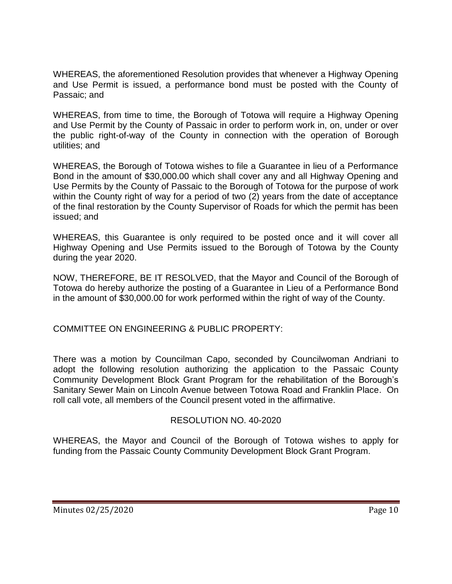WHEREAS, the aforementioned Resolution provides that whenever a Highway Opening and Use Permit is issued, a performance bond must be posted with the County of Passaic; and

WHEREAS, from time to time, the Borough of Totowa will require a Highway Opening and Use Permit by the County of Passaic in order to perform work in, on, under or over the public right-of-way of the County in connection with the operation of Borough utilities; and

WHEREAS, the Borough of Totowa wishes to file a Guarantee in lieu of a Performance Bond in the amount of \$30,000.00 which shall cover any and all Highway Opening and Use Permits by the County of Passaic to the Borough of Totowa for the purpose of work within the County right of way for a period of two (2) years from the date of acceptance of the final restoration by the County Supervisor of Roads for which the permit has been issued; and

WHEREAS, this Guarantee is only required to be posted once and it will cover all Highway Opening and Use Permits issued to the Borough of Totowa by the County during the year 2020.

NOW, THEREFORE, BE IT RESOLVED, that the Mayor and Council of the Borough of Totowa do hereby authorize the posting of a Guarantee in Lieu of a Performance Bond in the amount of \$30,000.00 for work performed within the right of way of the County.

COMMITTEE ON ENGINEERING & PUBLIC PROPERTY:

There was a motion by Councilman Capo, seconded by Councilwoman Andriani to adopt the following resolution authorizing the application to the Passaic County Community Development Block Grant Program for the rehabilitation of the Borough's Sanitary Sewer Main on Lincoln Avenue between Totowa Road and Franklin Place. On roll call vote, all members of the Council present voted in the affirmative.

## RESOLUTION NO. 40-2020

WHEREAS, the Mayor and Council of the Borough of Totowa wishes to apply for funding from the Passaic County Community Development Block Grant Program.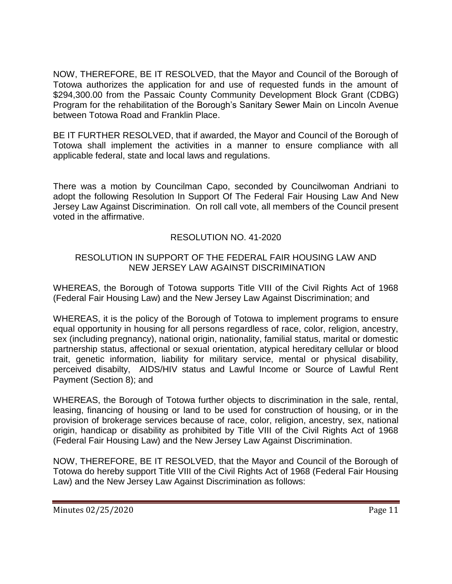NOW, THEREFORE, BE IT RESOLVED, that the Mayor and Council of the Borough of Totowa authorizes the application for and use of requested funds in the amount of \$294,300.00 from the Passaic County Community Development Block Grant (CDBG) Program for the rehabilitation of the Borough's Sanitary Sewer Main on Lincoln Avenue between Totowa Road and Franklin Place.

BE IT FURTHER RESOLVED, that if awarded, the Mayor and Council of the Borough of Totowa shall implement the activities in a manner to ensure compliance with all applicable federal, state and local laws and regulations.

There was a motion by Councilman Capo, seconded by Councilwoman Andriani to adopt the following Resolution In Support Of The Federal Fair Housing Law And New Jersey Law Against Discrimination. On roll call vote, all members of the Council present voted in the affirmative.

# RESOLUTION NO. 41-2020

# RESOLUTION IN SUPPORT OF THE FEDERAL FAIR HOUSING LAW AND NEW JERSEY LAW AGAINST DISCRIMINATION

WHEREAS, the Borough of Totowa supports Title VIII of the Civil Rights Act of 1968 (Federal Fair Housing Law) and the New Jersey Law Against Discrimination; and

WHEREAS, it is the policy of the Borough of Totowa to implement programs to ensure equal opportunity in housing for all persons regardless of race, color, religion, ancestry, sex (including pregnancy), national origin, nationality, familial status, marital or domestic partnership status, affectional or sexual orientation, atypical hereditary cellular or blood trait, genetic information, liability for military service, mental or physical disability, perceived disabilty, AIDS/HIV status and Lawful Income or Source of Lawful Rent Payment (Section 8); and

WHEREAS, the Borough of Totowa further objects to discrimination in the sale, rental, leasing, financing of housing or land to be used for construction of housing, or in the provision of brokerage services because of race, color, religion, ancestry, sex, national origin, handicap or disability as prohibited by Title VIII of the Civil Rights Act of 1968 (Federal Fair Housing Law) and the New Jersey Law Against Discrimination.

NOW, THEREFORE, BE IT RESOLVED, that the Mayor and Council of the Borough of Totowa do hereby support Title VIII of the Civil Rights Act of 1968 (Federal Fair Housing Law) and the New Jersey Law Against Discrimination as follows: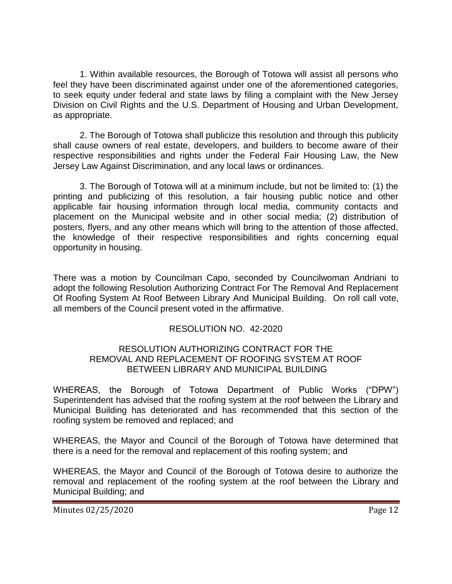1. Within available resources, the Borough of Totowa will assist all persons who feel they have been discriminated against under one of the aforementioned categories, to seek equity under federal and state laws by filing a complaint with the New Jersey Division on Civil Rights and the U.S. Department of Housing and Urban Development, as appropriate.

2. The Borough of Totowa shall publicize this resolution and through this publicity shall cause owners of real estate, developers, and builders to become aware of their respective responsibilities and rights under the Federal Fair Housing Law, the New Jersey Law Against Discrimination, and any local laws or ordinances.

3. The Borough of Totowa will at a minimum include, but not be limited to: (1) the printing and publicizing of this resolution, a fair housing public notice and other applicable fair housing information through local media, community contacts and placement on the Municipal website and in other social media; (2) distribution of posters, flyers, and any other means which will bring to the attention of those affected, the knowledge of their respective responsibilities and rights concerning equal opportunity in housing.

There was a motion by Councilman Capo, seconded by Councilwoman Andriani to adopt the following Resolution Authorizing Contract For The Removal And Replacement Of Roofing System At Roof Between Library And Municipal Building. On roll call vote, all members of the Council present voted in the affirmative.

## RESOLUTION NO. 42-2020

#### RESOLUTION AUTHORIZING CONTRACT FOR THE REMOVAL AND REPLACEMENT OF ROOFING SYSTEM AT ROOF BETWEEN LIBRARY AND MUNICIPAL BUILDING

WHEREAS, the Borough of Totowa Department of Public Works ("DPW") Superintendent has advised that the roofing system at the roof between the Library and Municipal Building has deteriorated and has recommended that this section of the roofing system be removed and replaced; and

WHEREAS, the Mayor and Council of the Borough of Totowa have determined that there is a need for the removal and replacement of this roofing system; and

WHEREAS, the Mayor and Council of the Borough of Totowa desire to authorize the removal and replacement of the roofing system at the roof between the Library and Municipal Building; and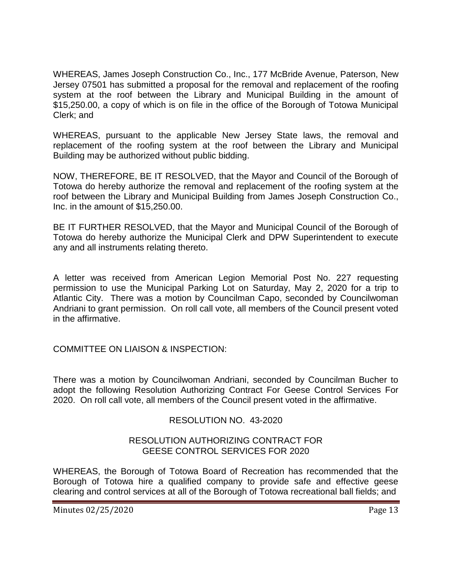WHEREAS, James Joseph Construction Co., Inc., 177 McBride Avenue, Paterson, New Jersey 07501 has submitted a proposal for the removal and replacement of the roofing system at the roof between the Library and Municipal Building in the amount of \$15,250.00, a copy of which is on file in the office of the Borough of Totowa Municipal Clerk; and

WHEREAS, pursuant to the applicable New Jersey State laws, the removal and replacement of the roofing system at the roof between the Library and Municipal Building may be authorized without public bidding.

NOW, THEREFORE, BE IT RESOLVED, that the Mayor and Council of the Borough of Totowa do hereby authorize the removal and replacement of the roofing system at the roof between the Library and Municipal Building from James Joseph Construction Co., Inc. in the amount of \$15,250.00.

BE IT FURTHER RESOLVED, that the Mayor and Municipal Council of the Borough of Totowa do hereby authorize the Municipal Clerk and DPW Superintendent to execute any and all instruments relating thereto.

A letter was received from American Legion Memorial Post No. 227 requesting permission to use the Municipal Parking Lot on Saturday, May 2, 2020 for a trip to Atlantic City. There was a motion by Councilman Capo, seconded by Councilwoman Andriani to grant permission. On roll call vote, all members of the Council present voted in the affirmative.

## COMMITTEE ON LIAISON & INSPECTION:

There was a motion by Councilwoman Andriani, seconded by Councilman Bucher to adopt the following Resolution Authorizing Contract For Geese Control Services For 2020. On roll call vote, all members of the Council present voted in the affirmative.

# RESOLUTION NO. 43-2020

## RESOLUTION AUTHORIZING CONTRACT FOR GEESE CONTROL SERVICES FOR 2020

WHEREAS, the Borough of Totowa Board of Recreation has recommended that the Borough of Totowa hire a qualified company to provide safe and effective geese clearing and control services at all of the Borough of Totowa recreational ball fields; and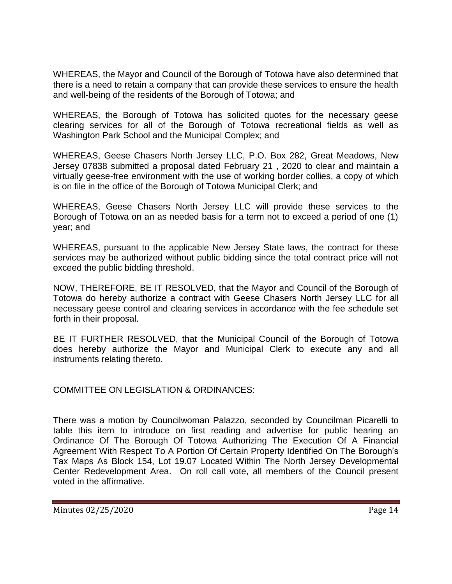WHEREAS, the Mayor and Council of the Borough of Totowa have also determined that there is a need to retain a company that can provide these services to ensure the health and well-being of the residents of the Borough of Totowa; and

WHEREAS, the Borough of Totowa has solicited quotes for the necessary geese clearing services for all of the Borough of Totowa recreational fields as well as Washington Park School and the Municipal Complex; and

WHEREAS, Geese Chasers North Jersey LLC, P.O. Box 282, Great Meadows, New Jersey 07838 submitted a proposal dated February 21 , 2020 to clear and maintain a virtually geese-free environment with the use of working border collies, a copy of which is on file in the office of the Borough of Totowa Municipal Clerk; and

WHEREAS, Geese Chasers North Jersey LLC will provide these services to the Borough of Totowa on an as needed basis for a term not to exceed a period of one (1) year; and

WHEREAS, pursuant to the applicable New Jersey State laws, the contract for these services may be authorized without public bidding since the total contract price will not exceed the public bidding threshold.

NOW, THEREFORE, BE IT RESOLVED, that the Mayor and Council of the Borough of Totowa do hereby authorize a contract with Geese Chasers North Jersey LLC for all necessary geese control and clearing services in accordance with the fee schedule set forth in their proposal.

BE IT FURTHER RESOLVED, that the Municipal Council of the Borough of Totowa does hereby authorize the Mayor and Municipal Clerk to execute any and all instruments relating thereto.

COMMITTEE ON LEGISLATION & ORDINANCES:

There was a motion by Councilwoman Palazzo, seconded by Councilman Picarelli to table this item to introduce on first reading and advertise for public hearing an Ordinance Of The Borough Of Totowa Authorizing The Execution Of A Financial Agreement With Respect To A Portion Of Certain Property Identified On The Borough's Tax Maps As Block 154, Lot 19.07 Located Within The North Jersey Developmental Center Redevelopment Area. On roll call vote, all members of the Council present voted in the affirmative.